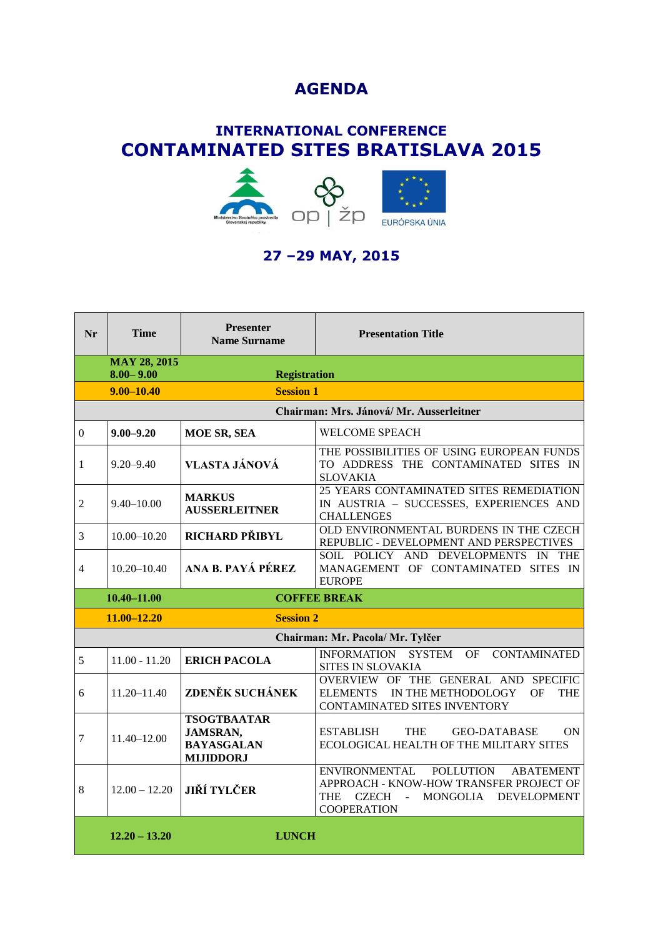## **AGENDA**

## **INTERNATIONAL CONFERENCE CONTAMINATED SITES BRATISLAVA 2015**



## **27 –29 MAY, 2015**

| Nr                                      | <b>Time</b>                          | <b>Presenter</b><br><b>Name Surname</b>                                        | <b>Presentation Title</b>                                                                                                                                               |  |  |
|-----------------------------------------|--------------------------------------|--------------------------------------------------------------------------------|-------------------------------------------------------------------------------------------------------------------------------------------------------------------------|--|--|
|                                         | <b>MAY 28, 2015</b><br>$8.00 - 9.00$ | <b>Registration</b>                                                            |                                                                                                                                                                         |  |  |
|                                         | $9.00 - 10.40$                       | <b>Session 1</b>                                                               |                                                                                                                                                                         |  |  |
| Chairman: Mrs. Jánová/Mr. Ausserleitner |                                      |                                                                                |                                                                                                                                                                         |  |  |
| $\boldsymbol{0}$                        | $9.00 - 9.20$                        | MOE SR, SEA                                                                    | <b>WELCOME SPEACH</b>                                                                                                                                                   |  |  |
| 1                                       | $9.20 - 9.40$                        | VLASTA JÁNOVÁ                                                                  | THE POSSIBILITIES OF USING EUROPEAN FUNDS<br>TO ADDRESS THE CONTAMINATED SITES IN<br><b>SLOVAKIA</b>                                                                    |  |  |
| $\overline{2}$                          | $9.40 - 10.00$                       | <b>MARKUS</b><br><b>AUSSERLEITNER</b>                                          | 25 YEARS CONTAMINATED SITES REMEDIATION<br>IN AUSTRIA - SUCCESSES, EXPERIENCES AND<br><b>CHALLENGES</b>                                                                 |  |  |
| 3                                       | $10.00 - 10.20$                      | RICHARD PŘIBYL                                                                 | OLD ENVIRONMENTAL BURDENS IN THE CZECH<br>REPUBLIC - DEVELOPMENT AND PERSPECTIVES                                                                                       |  |  |
| 4                                       | $10.20 - 10.40$                      | ANA B. PAYÁ PÉREZ                                                              | SOIL POLICY AND DEVELOPMENTS IN THE<br>MANAGEMENT OF CONTAMINATED SITES IN<br><b>EUROPE</b>                                                                             |  |  |
|                                         | $10.40 - 11.00$                      |                                                                                | <b>COFFEE BREAK</b>                                                                                                                                                     |  |  |
|                                         | $11.00 - 12.20$                      | <b>Session 2</b>                                                               |                                                                                                                                                                         |  |  |
|                                         |                                      |                                                                                | Chairman: Mr. Pacola/ Mr. Tylčer                                                                                                                                        |  |  |
| 5                                       | $11.00 - 11.20$                      | <b>ERICH PACOLA</b>                                                            | <b>SYSTEM</b><br><b>INFORMATION</b><br>OF.<br><b>CONTAMINATED</b><br>SITES IN SLOVAKIA                                                                                  |  |  |
| 6                                       | 11.20-11.40                          | ZDENĚK SUCHÁNEK                                                                | OVERVIEW OF THE GENERAL AND SPECIFIC<br>ELEMENTS IN THE METHODOLOGY<br>OF<br><b>THE</b><br>CONTAMINATED SITES INVENTORY                                                 |  |  |
| 7                                       | 11.40-12.00                          | <b>TSOGTBAATAR</b><br><b>JAMSRAN,</b><br><b>BAYASGALAN</b><br><b>MIJIDDORJ</b> | <b>THE</b><br><b>ON</b><br><b>ESTABLISH</b><br><b>GEO-DATABASE</b><br>ECOLOGICAL HEALTH OF THE MILITARY SITES                                                           |  |  |
| 8                                       | $12.00 - 12.20$                      | <b>JIŘÍ TYLČER</b>                                                             | <b>ENVIRONMENTAL</b><br>POLLUTION<br><b>ABATEMENT</b><br>APPROACH - KNOW-HOW TRANSFER PROJECT OF<br>CZECH -<br>MONGOLIA DEVELOPMENT<br><b>THE</b><br><b>COOPERATION</b> |  |  |
|                                         | $12.20 - 13.20$                      | <b>LUNCH</b>                                                                   |                                                                                                                                                                         |  |  |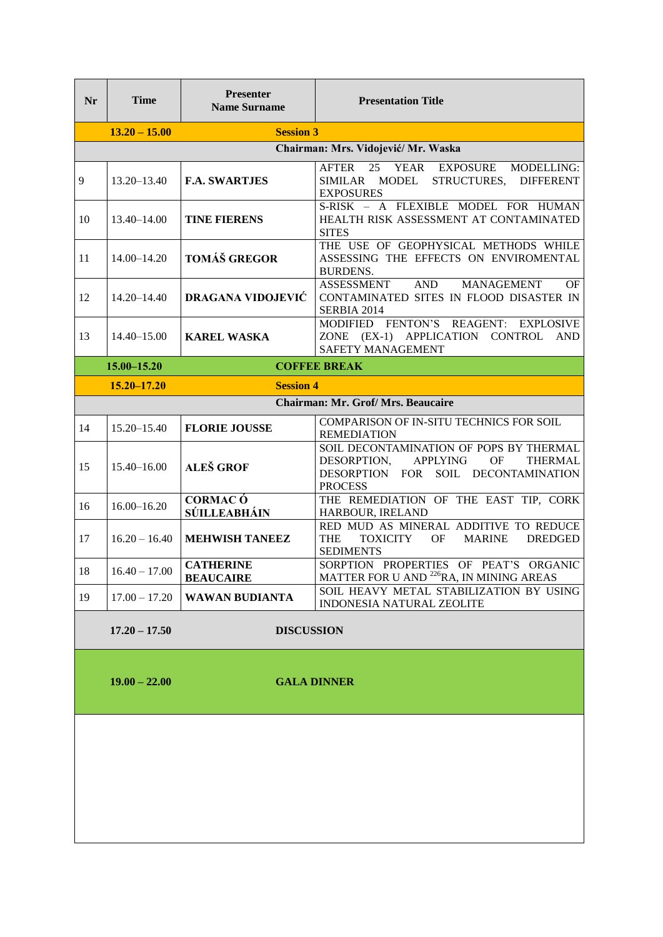| <b>Nr</b> | <b>Time</b>                            | Presenter<br><b>Name Surname</b>     | <b>Presentation Title</b>                                                                                                                                  |
|-----------|----------------------------------------|--------------------------------------|------------------------------------------------------------------------------------------------------------------------------------------------------------|
|           | $13.20 - 15.00$                        | <b>Session 3</b>                     |                                                                                                                                                            |
|           |                                        |                                      | Chairman: Mrs. Vidojević/ Mr. Waska                                                                                                                        |
| 9         | $13.20 - 13.40$                        | <b>F.A. SWARTJES</b>                 | 25<br>YEAR<br>EXPOSURE<br>MODELLING:<br><b>AFTER</b><br>SIMILAR MODEL<br>STRUCTURES,<br><b>DIFFERENT</b><br><b>EXPOSURES</b>                               |
| 10        | 13.40-14.00                            | <b>TINE FIERENS</b>                  | S-RISK - A FLEXIBLE MODEL FOR HUMAN<br>HEALTH RISK ASSESSMENT AT CONTAMINATED<br><b>SITES</b>                                                              |
| 11        | 14.00-14.20                            | <b>TOMÁŠ GREGOR</b>                  | THE USE OF GEOPHYSICAL METHODS WHILE<br>ASSESSING THE EFFECTS ON ENVIROMENTAL<br><b>BURDENS.</b>                                                           |
| 12        | 14.20-14.40                            | <b>DRAGANA VIDOJEVIĆ</b>             | <b>AND</b><br><b>ASSESSMENT</b><br><b>MANAGEMENT</b><br>OF<br>CONTAMINATED SITES IN FLOOD DISASTER IN<br>SERBIA 2014                                       |
| 13        | $14.40 - 15.00$                        | <b>KAREL WASKA</b>                   | MODIFIED FENTON'S REAGENT: EXPLOSIVE<br>ZONE (EX-1) APPLICATION CONTROL AND<br>SAFETY MANAGEMENT                                                           |
|           | <b>COFFEE BREAK</b><br>$15.00 - 15.20$ |                                      |                                                                                                                                                            |
|           | $15.20 - 17.20$                        | <b>Session 4</b>                     |                                                                                                                                                            |
|           |                                        |                                      | <b>Chairman: Mr. Grof/ Mrs. Beaucaire</b>                                                                                                                  |
| 14        | $15.20 - 15.40$                        | <b>FLORIE JOUSSE</b>                 | COMPARISON OF IN-SITU TECHNICS FOR SOIL<br><b>REMEDIATION</b>                                                                                              |
| 15        | 15.40-16.00                            | <b>ALEŠ GROF</b>                     | SOIL DECONTAMINATION OF POPS BY THERMAL<br><b>APPLYING</b><br><b>OF</b><br>DESORPTION,<br>THERMAL<br>DESORPTION FOR SOIL DECONTAMINATION<br><b>PROCESS</b> |
| 16        | $16.00 - 16.20$                        | <b>CORMAC Ó</b><br>SÚILLEABHÁIN      | THE REMEDIATION OF THE EAST TIP, CORK<br>HARBOUR, IRELAND                                                                                                  |
| 17        | $16.20 - 16.40$                        | <b>MEHWISH TANEEZ</b>                | RED MUD AS MINERAL ADDITIVE TO REDUCE<br><b>THE</b><br><b>TOXICITY</b><br><b>OF</b><br><b>MARINE</b><br><b>DREDGED</b><br><b>SEDIMENTS</b>                 |
| 18        | $16.40 - 17.00$                        | <b>CATHERINE</b><br><b>BEAUCAIRE</b> | SORPTION PROPERTIES OF PEAT'S ORGANIC<br>MATTER FOR U AND <sup>226</sup> RA, IN MINING AREAS                                                               |
| 19        | $17.00 - 17.20$                        | <b>WAWAN BUDIANTA</b>                | SOIL HEAVY METAL STABILIZATION BY USING<br>INDONESIA NATURAL ZEOLITE                                                                                       |
|           | $17.20 - 17.50$<br><b>DISCUSSION</b>   |                                      |                                                                                                                                                            |
|           | $19.00 - 22.00$                        | <b>GALA DINNER</b>                   |                                                                                                                                                            |
|           |                                        |                                      |                                                                                                                                                            |